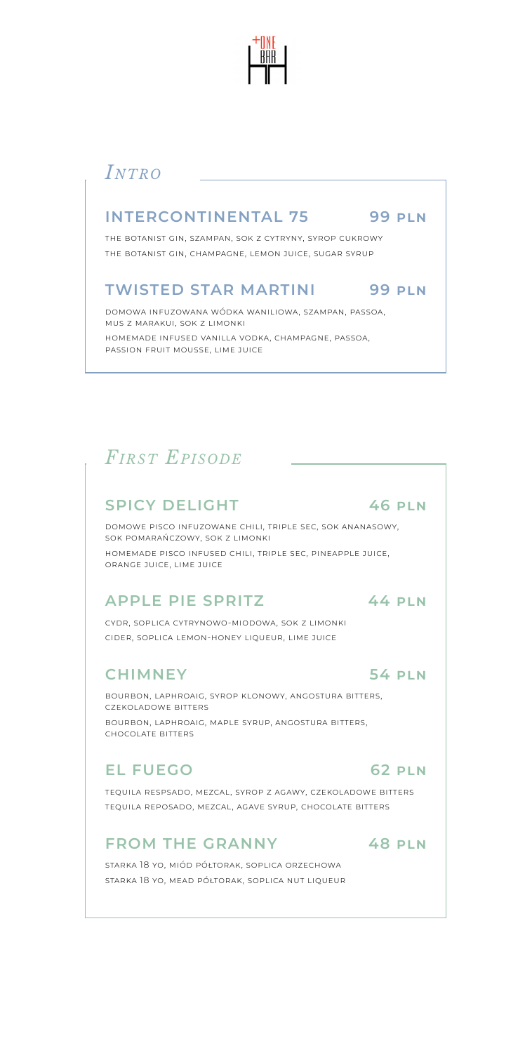

# *Intro*

#### **INTERCONTINENTAL 75 99 pln**

the botanist gin, szampan, sok z cytryny, syrop cukrowy the botanist gin, champagne, lemon juice, sugar syrup

#### **TWISTED STAR MARTINI 99 pln**

domowa infuzowana wódka waniliowa, szampan, passoa, mus z marakui, sok z limonki homemade infused vanilla vodka, champagne, passoa, passion fruit mousse, lime juice

# *First Episode*

#### **SPICY DELIGHT 46 pln**

domowe pisco infuzowane chili, triple sec, sok ananasowy, sok pomarańczowy, sok z limonki homemade pisco infused chili, triple sec, pineapple juice, orange juice, lime juice

#### **APPLE PIE SPRITZ 44 pln**

cydr, soplica cytrynowo-miodowa, sok z limonki cider, soplica lemon-honey liqueur, lime juice

#### **CHIMNEY 54 pln**

bourbon, laphroaig, syrop klonowy, angostura bitters, czekoladowe bitters bourbon, laphroaig, maple syrup, angostura bitters, chocolate bitters

#### **EL FUEGO 62 pln**

tequila respsado, mezcal, syrop z agawy, czekoladowe bitters tequila reposado, mezcal, agave syrup, chocolate bitters

#### **FROM THE GRANNY 48 pln**

starka 18 yo, miód półtorak, soplica orzechowa starka 18 yo, mead półtorak, soplica nut liqueur

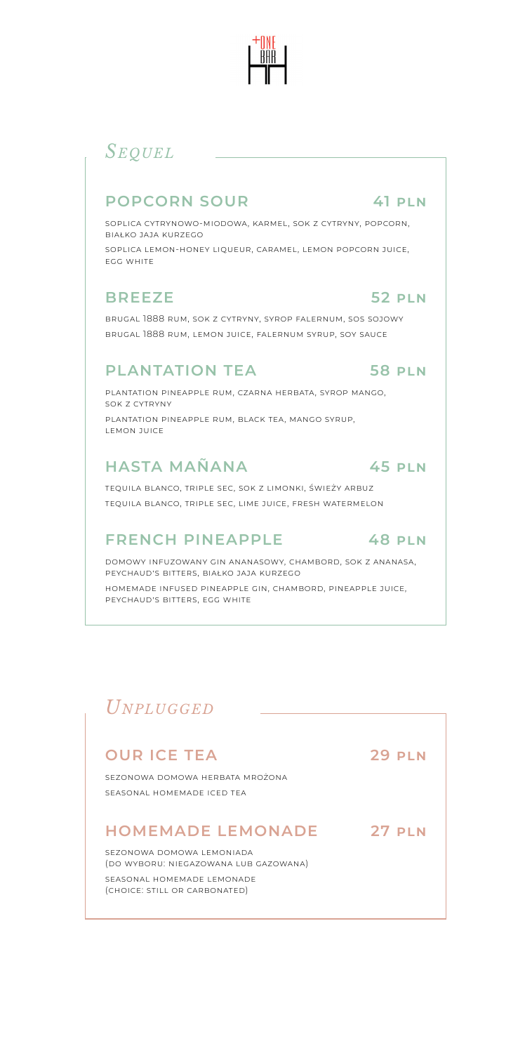# *Sequel*

#### **POPCORN SOUR 41 pln**

soplica cytrynowo-miodowa, karmel, sok z cytryny, popcorn, białko jaja kurzego

soplica lemon-honey liqueur, caramel, lemon popcorn juice, egg white

#### **BREEZE 52 pln**

brugal 1888 rum, sok z cytryny, syrop falernum, sos sojowy brugal 1888 rum, lemon juice, falernum syrup, soy sauce

#### **PLANTATION TEA 58 pln**

plantation pineapple rum, czarna herbata, syrop mango, sok z cytryny plantation pineapple rum, black tea, mango syrup, lemon juice

#### **HASTA MAÑANA 45 pln**

tequila blanco, triple sec, sok z limonki, świeży arbuz tequila blanco, triple sec, lime juice, fresh watermelon

#### **FRENCH PINEAPPLE 48 pln**

domowy infuzowany gin ananasowy, chambord, sok z ananasa, peychaud's bitters, białko jaja kurzego

homemade infused pineapple gin, chambord, pineapple juice, peychaud's bitters, egg white

# *Unplugged*

# **OUR ICE TEA 29 pln**

sezonowa domowa herbata mrożona seasonal homemade iced tea

#### **HOMEMADE LEMONADE 27 pln**

sezonowa domowa lemoniada (do wyboru: niegazowana lub gazowana) seasonal homemade lemonade (choice: still or carbonated)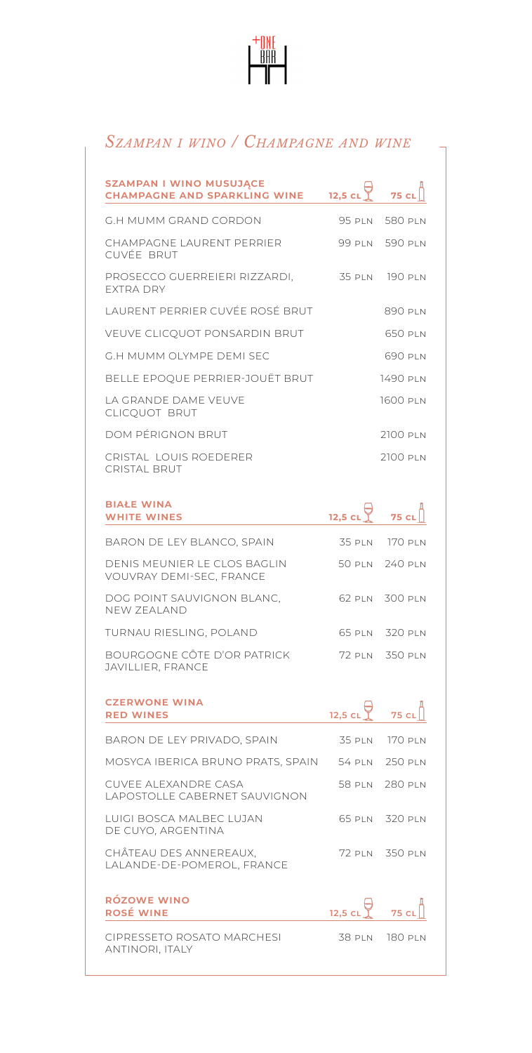

## *Szampan i wino / Champagne and wine*

| <b>SZAMPAN I WINO MUSUJĄCE</b>                           |               |                  |
|----------------------------------------------------------|---------------|------------------|
| <b>CHAMPAGNE AND SPARKLING WINE</b>                      | $12,5$ CL     | <b>75 CL</b>     |
| G.H MUMM GRAND CORDON                                    |               | 95 PLN 580 PLN   |
| CHAMPAGNE LAURENT PERRIER<br>CUVÉE BRUT                  |               | 99 PLN 590 PLN   |
| PROSECCO GUERREIERI RIZZARDI.<br><b>FXTRA DRY</b>        | 35 PLN        | <b>190 PLN</b>   |
| LAURENT PERRIER CUVÉE ROSÉ BRUT                          |               | 890 PLN          |
| VEUVE CLICQUOT PONSARDIN BRUT                            |               | 650 PLN          |
| <b>G.H MUMM OLYMPE DEMI SEC</b>                          |               | 690 PLN          |
| BELLE EPOQUE PERRIER-JOUËT BRUT                          |               | 1490 PLN         |
| LA GRANDE DAME VEUVE<br>CLICQUOT BRUT                    |               | 1600 PLN         |
| DOM PÉRIGNON BRUT                                        |               | 2100 PLN         |
| CRISTAL LOUIS ROEDERER<br><b>CRISTAL BRUT</b>            |               | 2100 PLN         |
| <b>BIAŁE WINA</b>                                        |               |                  |
| <b>WHITE WINES</b>                                       | 12,5 $CL$     | <b>75 CL</b>     |
| BARON DE LEY BLANCO, SPAIN                               |               | 35 PLN 170 PLN   |
| DENIS MEUNIER LE CLOS BAGLIN<br>VOUVRAY DEMI-SEC, FRANCE | 50 pln        | 240 PLN          |
| DOG POINT SAUVIGNON BLANC,<br><b>NEW ZEALAND</b>         | 62 pln        | 300 PLN          |
| TURNAU RIESLING, POLAND                                  |               | 65 PLN 320 PLN   |
| BOURGOGNE CÔTE D'OR PATRICK<br>JAVILLIER, FRANCE         |               | 72 PLN 350 PLN   |
| <b>CZERWONE WINA</b><br><b>RED WINES</b>                 | $12,5$ CL     | 75 <sub>cl</sub> |
| BARON DE LEY PRIVADO, SPAIN                              | 35 pln        | 170 pln          |
| MOSYCA IBERICA BRUNO PRATS, SPAIN                        |               | 54 PLN 250 PLN   |
| CUVEE ALEXANDRE CASA<br>LAPOSTOLLE CABERNET SAUVIGNON    | 58 pln        | 280 PLN          |
| LUIGI BOSCA MALBEC LUJAN<br>DE CUYO, ARGENTINA           | 65 pln        | 320 PLN          |
| CHÂTEAU DES ANNEREAUX,<br>LALANDE-DE-POMEROL, FRANCE     | 72 pln        | 350 PLN          |
| <b>RÓZOWE WINO</b><br><b>ROSÉ WINE</b>                   | $12,5$ CL     | 75 CL            |
| CIPRESSETO ROSATO MARCHESI<br>ANTINORI, ITALY            | <b>38 PLN</b> | 180 PLN          |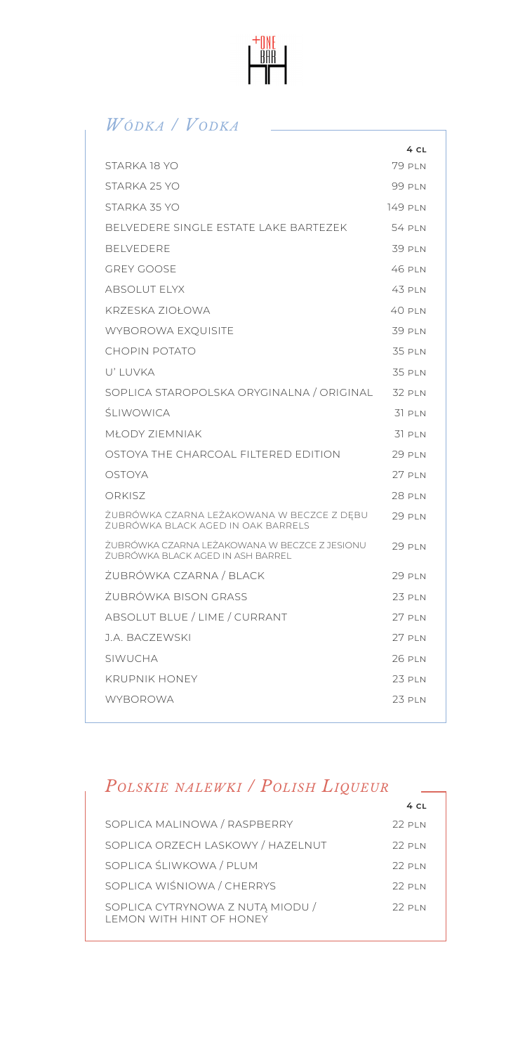

# *Wódka / Vodka*

|                                                                                      | 4 CL          |
|--------------------------------------------------------------------------------------|---------------|
| STARKA 18 YO                                                                         | 79 PIN        |
| STARKA 25 YO                                                                         | 99 PIN        |
| STARKA 35 YO                                                                         | 149 PLN       |
| BELVEDERE SINGLE ESTATE LAKE BARTF7FK                                                | 54 PIN        |
| <b>BELVEDERE</b>                                                                     | 39 PLN        |
| GREY GOOSE                                                                           | 46 PIN        |
| ABSOLUT FLYX                                                                         | 43 PIN        |
| KRZESKA ZIOŁOWA                                                                      | 40 pln        |
| <b>WYBOROWA EXQUISITE</b>                                                            | 39 PLN        |
| CHOPIN POTATO                                                                        | 35 PIN        |
| U' LUVKA                                                                             | 35 PIN        |
| SOPLICA STAROPOLSKA ORYGINALNA / ORIGINAL                                            | <b>32 PLN</b> |
| ŠI IWOWICA                                                                           | 31 PIN        |
| <b>MŁODY ZIEMNIAK</b>                                                                | 31 PLN        |
| OSTOYA THE CHARCOAL FILTERED EDITION                                                 | 29 PIN        |
| OSTOYA                                                                               | 27 PLN        |
| ORKISZ                                                                               | 28 pi n       |
| ŻUBRÓWKA CZARNA LEŻAKOWANA W BECZCE Z DEBU<br>ŻUBRÓWKA BLACK AGED IN OAK BARRELS     | <b>29 PLN</b> |
| ŽUBRÓWKA CZARNA I FŻAKOWANA W BECZCE Z JESIONU.<br>ŻUBRÓWKA BLACK AGED IN ASH BARREL | 29 PIN        |
| ŻUBRÓWKA CZARNA / BLACK                                                              | <b>29 PLN</b> |
| ŻUBRÓWKA BISON GRASS                                                                 | 23 PLN        |
| ABSOLUT BLUE / LIME / CURRANT                                                        | 27 PLN        |
| J.A. BACZEWSKI                                                                       | 27 PI N       |
| SIWUCHA                                                                              | 26 PLN        |
| <b>KRUPNIK HONEY</b>                                                                 | 23 PLN        |
| <b>WYBOROWA</b>                                                                      | 23 PLN        |

#### *Polskie nalewki / Polish Liqueur*

|                                                                      | 4 <sub>CI</sub> |
|----------------------------------------------------------------------|-----------------|
| SOPLICA MALINOWA / RASPBERRY                                         | 22 PIN          |
| SOPLICA ORZECH LASKOWY / HAZELNUT                                    | 22 PIN          |
| SOPLICA ŚLIWKOWA / PLUM                                              | 22 PIN          |
| SOPLICA WIŚNIOWA / CHERRYS                                           | $22$ PIN        |
| SOPLICA CYTRYNOWA Z NUTĄ MIODU /<br><b>I FMON WITH HINT OF HONEY</b> | 22 PIN          |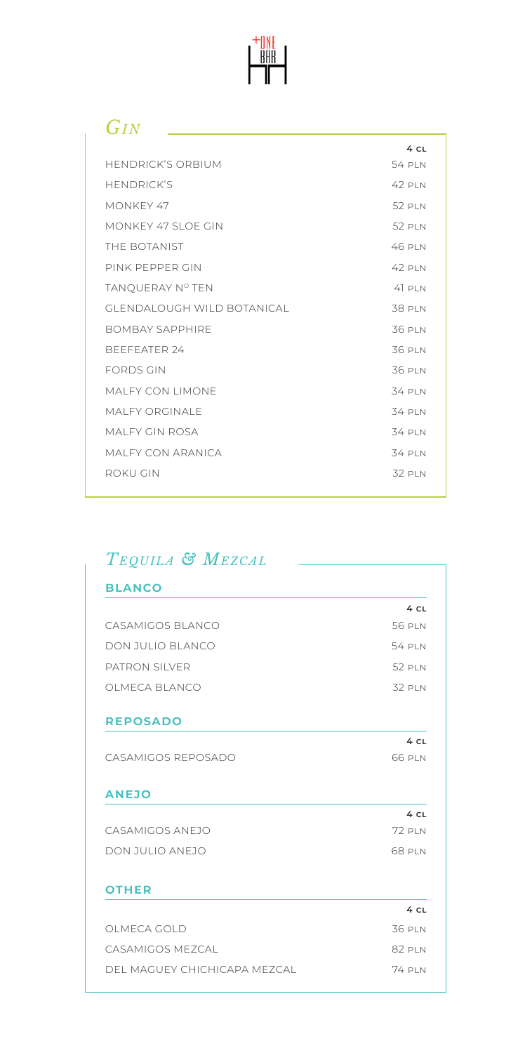

# *Gin*

|                               | 4 CL          |
|-------------------------------|---------------|
| <b>HENDRICK'S ORBIUM</b>      | 54 PIN        |
| <b>HENDRICK'S</b>             | 42 PIN        |
| MONKEY 47                     | 52 PIN        |
| MONKEY 47 SLOE GIN            | <b>52 PLN</b> |
| THE BOTANIST                  | 46 PIN        |
| PINK PFPPFR GIN               | 42 PIN        |
| TANQUERAY Nº TEN              | $41$ PIN      |
| GI ENDAI OUGH WII D BOTANICAL | <b>38 PLN</b> |
| <b>BOMBAY SAPPHIRE</b>        | 36 PLN        |
| BEFFFATER 24                  | 36 PLN        |
| <b>FORDS GIN</b>              | 36 PLN        |
| MAI FY CON I IMONE            | 34 PIN        |
| MAI FY ORGINALE               | 34 PIN        |
| MAI FY GIN ROSA               | 34 PLN        |
| MAI FY CON ARANICA            | 34 PLN        |
| ROKU GIN                      | 32 PIN        |
|                               |               |

# *Tequila & Mezcal*

| <b>BLANCO</b>                |               |
|------------------------------|---------------|
|                              | 4 CL          |
| CASAMIGOS BI ANCO            | 56 PLN        |
| DON JULIO BLANCO             | 54 PIN        |
| PATRON SILVER                | 52 PIN        |
| OLMECA BLANCO                | 32 PLN        |
| <b>REPOSADO</b>              |               |
|                              | 4 CL          |
| CASAMIGOS REPOSADO           | 66 PLN        |
| <b>ANEJO</b>                 |               |
|                              | 4 CL          |
| CASAMIGOS ANEJO              | 72 PIN        |
| DON JULIO ANEJO              | 68 PLN        |
| <b>OTHER</b>                 |               |
|                              | 4 CL          |
| OLMECA GOLD                  | 36 PLN        |
| CASAMIGOS MEZCAL             | 82 PLN        |
| DEL MAGUEY CHICHICAPA MEZCAL | <b>74 PLN</b> |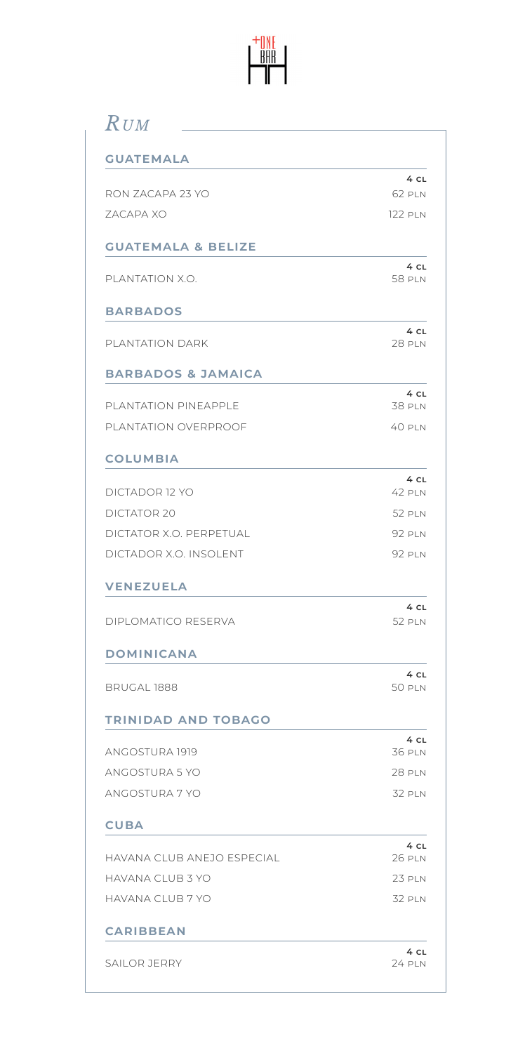

# *Rum*

| <b>GUATEMALA</b>              |                           |
|-------------------------------|---------------------------|
|                               | 4 CL                      |
| RON ZACAPA 23 YO              | 62 PLN                    |
| <b>7ACAPA XO</b>              | <b>122 PLN</b>            |
| <b>GUATEMALA &amp; BELIZE</b> |                           |
| PI ANTATION X.O.              | 4 CL<br><b>58 PLN</b>     |
| <b>BARBADOS</b>               |                           |
| PLANTATION DARK               | 4 CL<br><b>28 PLN</b>     |
| <b>BARBADOS &amp; JAMAICA</b> |                           |
| PLANTATION PINEAPPLE          | 4 CL<br><b>38 PLN</b>     |
| PLANTATION OVERPROOF          | 40 PIN                    |
| <b>COLUMBIA</b>               |                           |
| DICTADOR 12 YO                | 4 <sub>CL</sub><br>42 PLN |
| DICTATOR 20                   | 52 PLN                    |
| DICTATOR X.O. PERPETUAL       | <b>92 PLN</b>             |
| DICTADOR X.O. INSOLENT        | <b>92 PLN</b>             |
| <b>VENEZUELA</b>              |                           |
| DIPLOMATICO RESERVA           | 4 CL<br><b>52 PLN</b>     |
| <b>DOMINICANA</b>             |                           |
| BRUGAL 1888                   | 4 CL<br><b>50 PLN</b>     |
| <b>TRINIDAD AND TOBAGO</b>    |                           |
| ANGOSTURA 1919                | 4 CL<br><b>36 PLN</b>     |
| ANGOSTURA 5 YO                | <b>28 PLN</b>             |
| ANGOSTURA 7 YO                | <b>32 PLN</b>             |
| <b>CUBA</b>                   |                           |
| HAVANA CLUB ANEJO ESPECIAL    | 4 CL<br><b>26 PLN</b>     |
| HAVANA CLUB 3 YO              | <b>23 PLN</b>             |
| HAVANA CLUB 7 YO              | <b>32 PLN</b>             |
| <b>CARIBBEAN</b>              |                           |
| SAILOR JERRY                  | 4 CL<br>24 PLN            |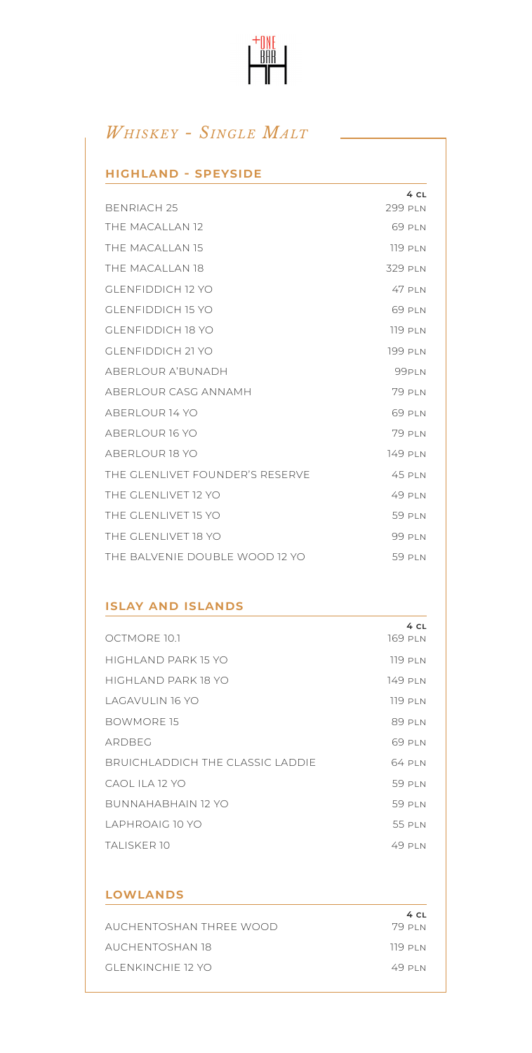# $\begin{array}{c}\n+0 \text{NE} \\
\hline\n\text{BHR}\n\end{array}$

# *Whiskey - Single Malt*

#### **highland - speyside**

|                                 | 4 CL           |
|---------------------------------|----------------|
| <b>BENRIACH 25</b>              | 299 PLN        |
| THE MACALLAN 12                 | 69 PLN         |
| THE MACALLAN 15                 | <b>119 PLN</b> |
| THE MACALLAN 18                 | 329 PLN        |
| GLENEIDDICH 12 YO               | 47 PIN         |
| GLENEIDDICH 15 YO               | 69 PLN         |
| GLENEIDDICH 18 YO               | 119P N         |
| GLENEIDDICH 21 YO               | 199 PLN        |
| ABERI OUR A'BUNADH              | 99PLN          |
| ABERI OUR CASG ANNAMH           | 79 PLN         |
| ABERI OUR 14 YO                 | 69 PLN         |
| ABERI OUR 16 YO                 | 79 PLN         |
| ABERI OUR 18 YO                 | 149 PLN        |
| THE GLENLIVET FOUNDER'S RESERVE | 45 PLN         |
| THE GLENT IVET 12 YO            | 49 PIN         |
| THE GLENT IVET 15 YO            | 59 PLN         |
| THE GLENT IVET 18 YO            | 99 PLN         |
| THE BAI VENIE DOUBLE WOOD 12 YO | 59 PIN         |

#### **islay and islands**

| OCTMORE 10.1                             | 4 CL<br>169 PLN |
|------------------------------------------|-----------------|
| HIGHI AND PARK 15 YO                     | 119 PI N        |
| HIGHI AND PARK 18 YO                     | 149 PI N        |
| I AGAVUI IN 16 YO                        | 119 PI N        |
| BOWMORE 15                               | 89 PLN          |
| ARDBEG                                   | 69 PIN          |
| <b>BRUICHI ADDICH THE CLASSIC LADDIE</b> | 64 PIN          |
| CAOL II A 12 YO                          | 59 PIN          |
| BUNNAHABHAIN 12 YO                       | 59 PIN          |
| I APHROAIG 10 YO                         | 55 PIN          |
| TAI ISKER 10                             | 49 PIN          |

| <b>LOWLANDS</b>         |                |
|-------------------------|----------------|
| AUCHENTOSHAN THREE WOOD | 4CL<br>79 PI N |
| AUCHENTOSHAN 18         | 119 PI N       |
| GLENKINCHIE 12 YO       | 49 PI N        |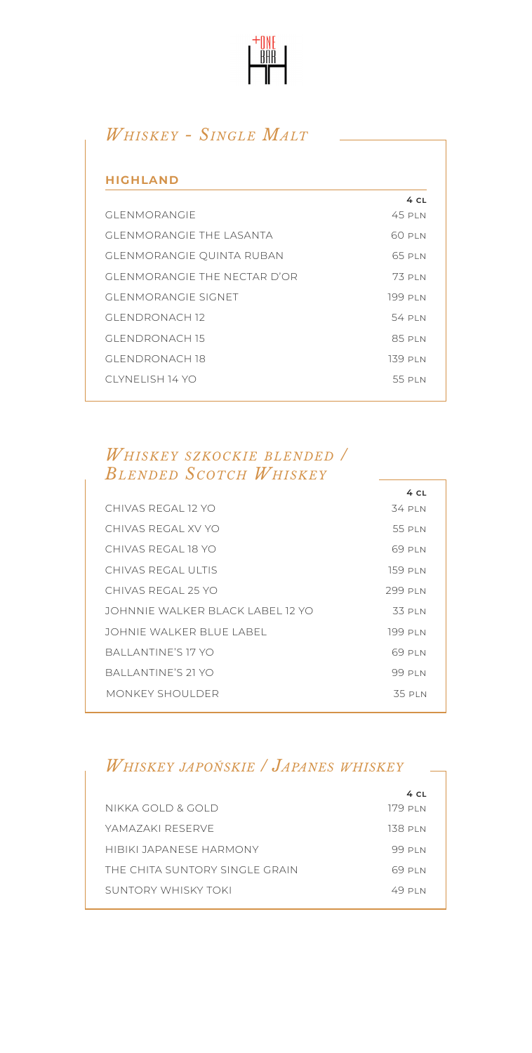

# *Whiskey - Single Malt*

| <b>HIGHLAND</b>                  |         |
|----------------------------------|---------|
|                                  | 4CL     |
| <b>GI ENMORANGIE</b>             | 45 PIN  |
| <b>GI ENMORANGIE THE LASANTA</b> | 60 PLN  |
| <b>GLENMORANGIE QUINTA RUBAN</b> | 65 PIN  |
| GI FNMORANGIE THE NECTAR D'OR    | 73 PIN  |
| GLENMORANGIE SIGNET              | 199 PLN |
| GLENDRONACH 12                   | 54 PIN  |
| GLENDRONACH 15                   | 85 PLN  |
| GI ENDRONACH 18                  | 139 PLN |
| CLYNELISH 14 YO                  | 55 PLN  |
|                                  |         |

### *Whiskey szkockie blended / Blended Scotch Whiskey*

|                                    | 4 CL     |
|------------------------------------|----------|
| CHIVAS REGAL 12 YO                 | 34 PI N  |
| CHIVAS REGAL XV YO                 | 55 PLN   |
| CHIVAS REGAL 18 YO                 | 69 PIN   |
| CHIVAS REGAL ULTIS                 | 159 pi n |
| CHIVAS REGAL 25 YO                 | 299 PLN  |
| JOHNNIF WAI KER BI ACK LABEL 12 YO | 33 PLN   |
| JOHNIF WAI KER BI UE LABEL.        | 199 PLN  |
| BALLANTINE'S 17 YO                 | 69 PI N  |
| BALLANTINE'S 21 YO                 | 99 PLN   |
| MONKEY SHOULDER                    | 35 PLN   |
|                                    |          |

# *Whiskey japońskie / Japanes whiskey*

|                                | 4 C.I    |
|--------------------------------|----------|
| NIKKA GOLD & GOLD              | 179 pi n |
| YAMAZAKI RESERVE               | 138 pi n |
| HIBIKI JAPANESE HARMONY        | 99 PI N  |
| THE CHITA SUNTORY SINGLE GRAIN | 69 PI N  |
| SUNTORY WHISKY TOKI            | 49 PI N  |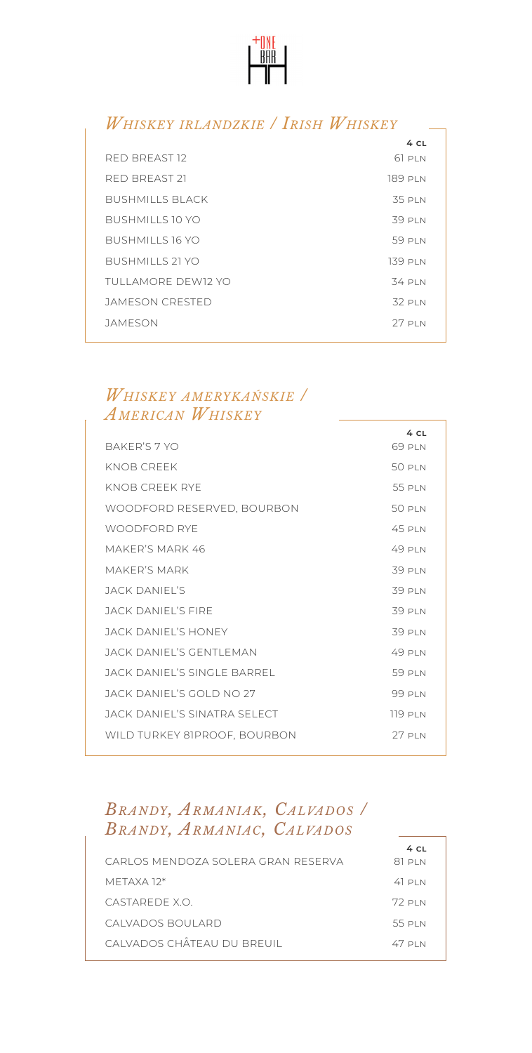

### *Whiskey irlandzkie / Irish Whiskey*

|                     | 4 CL    |
|---------------------|---------|
| RED BREAST 12       | 61 PLN  |
| RED BREAST 21       | 189 PLN |
| BUSHMILLS BLACK     | 35 PLN  |
| BUSHMILLS 10 YO     | 39 PLN  |
| BUSHMILLS 16 YO     | 59 PIN  |
| BUSHMILLS 21 YO     | 139 PLN |
| TUI LAMORE DEW12 YO | 34 PLN  |
| JAMESON CRESTED     | 32 PLN  |
| JAMESON             | 27 PIN  |
|                     |         |

#### *Whiskey amerykańskie / American Whiskey*

|                              | 4 CL           |
|------------------------------|----------------|
| BAKER'S 7 YO                 | 69 PLN         |
| KNOB CREEK                   | 50 PLN         |
| KNOB CREEK RYE               | 55 PIN         |
| WOODFORD RESERVED, BOURBON   | 50 PLN         |
| WOODFORD RYF                 | 45 PIN         |
| MAKER'S MARK 46              | 49 PIN         |
| MAKFR'S MARK                 | 39 PLN         |
| JACK DANIFI'S                | 39 PLN         |
| JACK DANIFI'S FIRE           | 39 PLN         |
| JACK DANIFI'S HONEY          | 39 PLN         |
| JACK DANIFI'S GENTI EMAN     | 49 PIN         |
| JACK DANIFI'S SINGI E BARREL | 59 PLN         |
| JACK DANIFI'S GOI D NO 27    | 99 PLN         |
| JACK DANIFI'S SINATRA SELECT | <b>119 PLN</b> |
| WILD TURKEY 81PROOF, BOURBON | 27 PIN         |
|                              |                |

### *Brandy, Armaniak, Calvados / Brandy, Armaniac, Calvados*

|                                     | 4 C.I    |
|-------------------------------------|----------|
| CARI OS MENDOZA SOLERA GRAN RESERVA | 81 PI N  |
| MFTAXA 12*                          | $41$ PIN |
| CASTARE DE X O                      | 72 PIN   |
| CAI VADOS BOULARD                   | 55 PIN   |
| CALVADOS CHÂTEAU DU BREUIL          | 47 PIN   |
|                                     |          |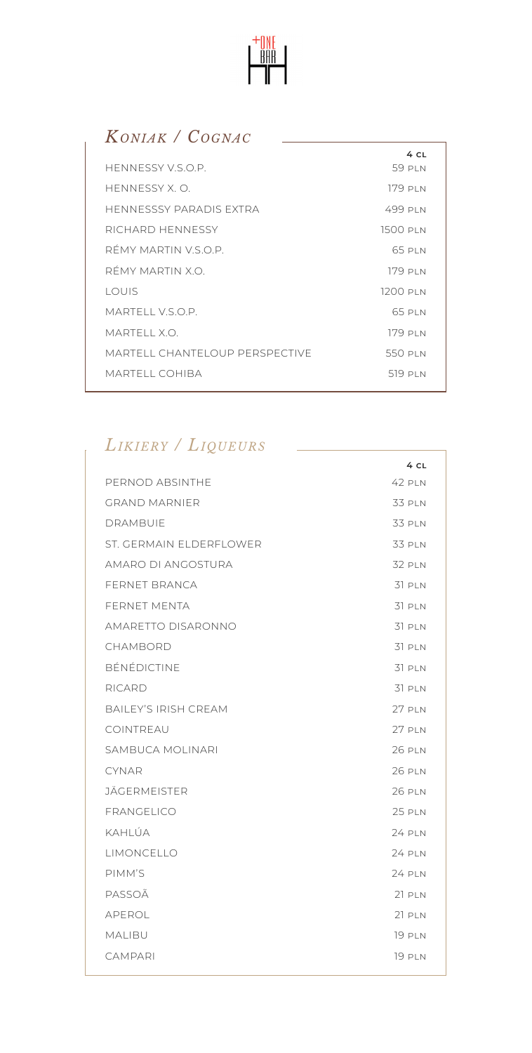

# *Koniak / Cognac*

| HENNESSY V.S.O.P.              | 4 CL<br>59 PIN |
|--------------------------------|----------------|
| HENNESSY X.O.                  | 179 PI N       |
| HENNESSSY PARADIS EXTRA        | 499 PIN        |
| RICHARD HENNESSY               | 1500 PLN       |
| RÉMY MARTIN V.S.O.P.           | 65 PIN         |
| RÉMY MARTIN X O                | 179 PLN        |
| LOUIS                          | 1200 PLN       |
| MARTELL VSOP                   | 65 PLN         |
| MARTELL X.O.                   | 179 PI N       |
| MARTELL CHANTELOUP PERSPECTIVE | 550 PLN        |
| MARTELL COHIBA                 | 519 PLN        |

# *Likiery / Liqueurs*

|                             | 4 CL          |
|-----------------------------|---------------|
| PERNOD ABSINTHE             | 42 PLN        |
| <b>GRAND MARNIER</b>        | 33 PLN        |
| <b>DRAMBUIE</b>             | 33 PLN        |
| ST. GERMAIN ELDERFLOWER     | <b>33 PLN</b> |
| AMARO DI ANGOSTURA          | 32 PLN        |
| <b>FERNET BRANCA</b>        | 31 PLN        |
| FERNET MENTA                | 31 PLN        |
| AMARETTO DISARONNO          | 31 PLN        |
| CHAMBORD                    | 31 PLN        |
| BÉNÉDICTINE                 | 31 PLN        |
| RICARD                      | 31 PLN        |
| <b>BAILEY'S IRISH CREAM</b> | <b>27 PLN</b> |
| COINTREAU                   | 27 PLN        |
| SAMBUCA MOLINARI            | <b>26 PLN</b> |
| <b>CYNAR</b>                | <b>26 PLN</b> |
| <b>JÄGERMEISTER</b>         | <b>26 PLN</b> |
| FRANGELICO                  | <b>25 PLN</b> |
| KAHLÚA                      | <b>24 PLN</b> |
| LIMONCELLO                  | <b>24 PLN</b> |
| PIMM'S                      | <b>24 PLN</b> |
| PASSOÃ                      | $21$ PLN      |
| APEROL                      | $21$ PLN      |
| MALIBU                      | <b>19 PLN</b> |
| <b>CAMPARI</b>              | <b>19 PLN</b> |
|                             |               |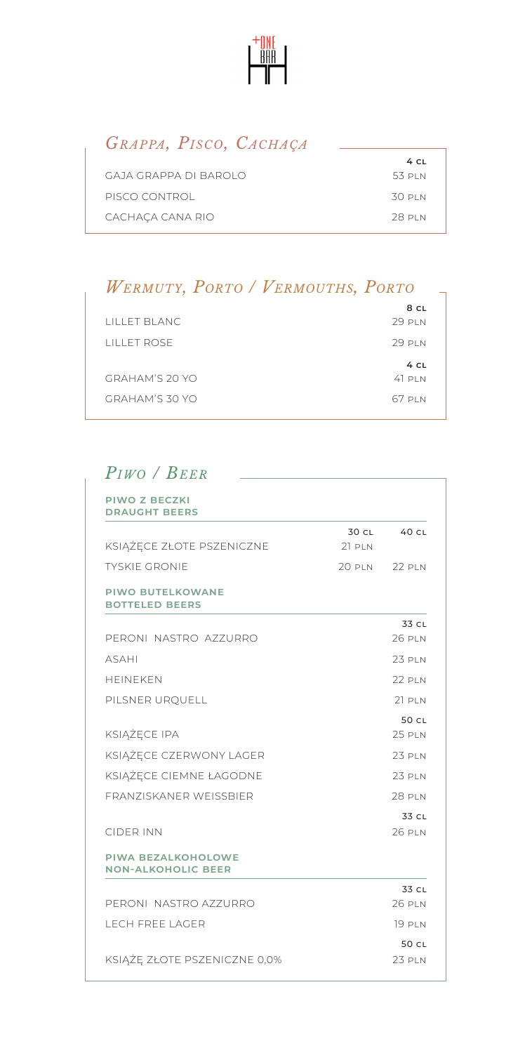

### *Grappa, Pisco, Cachaça*

| $4$ CL |
|--------|
| 53 PLN |
| 30 pin |
| 28 PLN |
|        |

# *Wermuty, Porto / Vermouths, Porto*

|                      | 8 CL     |
|----------------------|----------|
| LILLET BLANC         | 29 PIN   |
| <b>I II LET ROSE</b> | 29 PIN   |
|                      |          |
|                      | 4CL      |
| GRAHAM'S 20 YO       | $41$ PIN |

# *Piwo / Beer*

| <b>PIWO Z BECZKI</b><br><b>DRAUGHT BEERS</b>           |          |               |
|--------------------------------------------------------|----------|---------------|
|                                                        | 30 CL    | 40 CL         |
| KSIĄŻĘCE ZŁOTE PSZENICZNE                              | $21$ PIN |               |
| <b>TYSKIF GRONIF</b>                                   | 20 PLN   | <b>22 PLN</b> |
| <b>PIWO BUTELKOWANE</b><br><b>BOTTELED BEERS</b>       |          |               |
|                                                        |          | 33 CL         |
| PERONI NASTRO AZZURRO                                  |          | 26 PIN        |
| <b>ASAHI</b>                                           |          | 23 PLN        |
| <b>HFINFKFN</b>                                        |          | 22 PIN        |
| PILSNER URQUELL                                        |          | $21$ PIN      |
|                                                        |          | 50 CL         |
| KSIĄŻĘCE IPA                                           |          | 25 PLN        |
| KSIĄŻĘCE CZERWONY LAGER                                |          | 23 PIN        |
| KSIĄŻĘCE CIEMNE ŁAGODNE                                |          | 23 PIN        |
| <b>FRANZISKANER WEISSBIER</b>                          |          | <b>28 PLN</b> |
|                                                        |          | 33 CL         |
| <b>CIDER INN</b>                                       |          | 26 PIN        |
| <b>PIWA BEZALKOHOLOWE</b><br><b>NON-ALKOHOLIC BEER</b> |          |               |
|                                                        |          | 33 CL         |
| PERONI NASTRO AZZURRO                                  |          | 26 PIN        |
| <b>I FCH ERFF I AGER</b>                               |          | 19 PI N       |
|                                                        |          | 50 CL         |
| KSIĄŻĘ ZŁOTE PSZENICZNE 0,0%                           |          | 23 PLN        |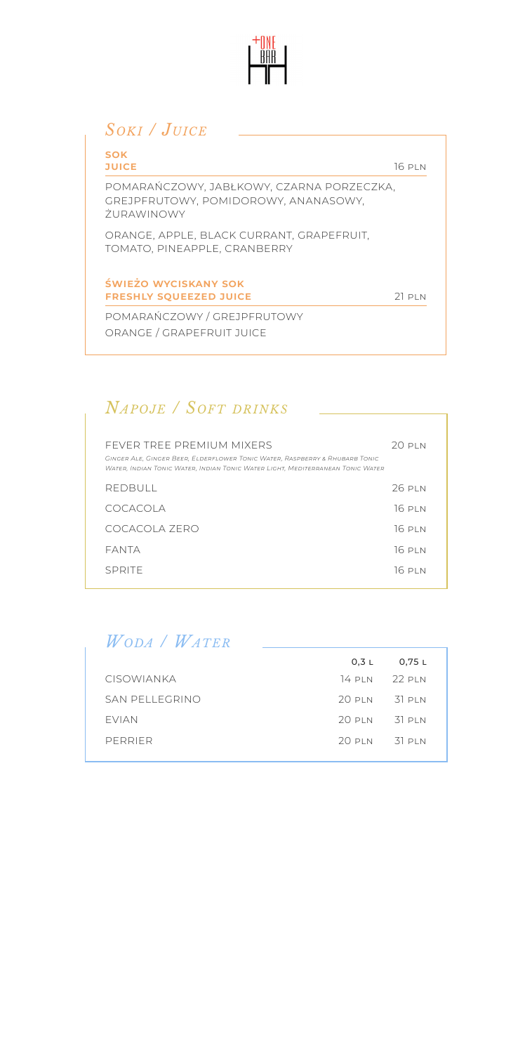

# *Soki / Juice*

| <b>SOK</b><br><b>JUICE</b>                                                                             | 16PIN   |
|--------------------------------------------------------------------------------------------------------|---------|
| POMARAŃCZOWY, JABŁKOWY, CZARNA PORZECZKA,<br>GREJPFRUTOWY, POMIDOROWY, ANANASOWY,<br><b>7URAWINOWY</b> |         |
| ORANGE, APPLE, BLACK CURRANT, GRAPEFRUIT.<br>TOMATO, PINEAPPLE, CRANBERRY                              |         |
| ŚWIEŻO WYCISKANY SOK<br><b>FRESHLY SOUEEZED JUICE</b>                                                  | 21 PI N |
| POMARAŃCZOWY / GREJPFRUTOWY                                                                            |         |
| ORANGE / GRAPEFRUIT JUICE                                                                              |         |

# *Napoje / Soft drinks*

| FFVER TREE PREMIUM MIXERS<br>GINGER ALE, GINGER BEER, ELDERFLOWER TONIC WATER, RASPBERRY & RHUBARB TONIC<br>Water, Indian Tonic Water, Indian Tonic Water Light, Mediterranean Tonic Water | 20 pi n  |
|--------------------------------------------------------------------------------------------------------------------------------------------------------------------------------------------|----------|
| REDBULL                                                                                                                                                                                    | 26 PIN   |
| COCACOLA                                                                                                                                                                                   | 16 PI N  |
| COCACOLA ZERO                                                                                                                                                                              | $16P$ IN |
| FANTA                                                                                                                                                                                      | 16 PI N  |
| SPRITE                                                                                                                                                                                     | 16P1N    |

*Woda / Water*

|                   |                    | $0.3 L$ $0.75 L$ |  |
|-------------------|--------------------|------------------|--|
| <b>CISOWIANKA</b> |                    | 14 PIN 22 PIN    |  |
| SAN PELLEGRINO    | $20$ PIN $-31$ PIN |                  |  |
| <b>FVIAN</b>      | $20$ PIN $31$ PIN  |                  |  |
| PERRIFR           | $20$ PIN $31$ PIN  |                  |  |
|                   |                    |                  |  |